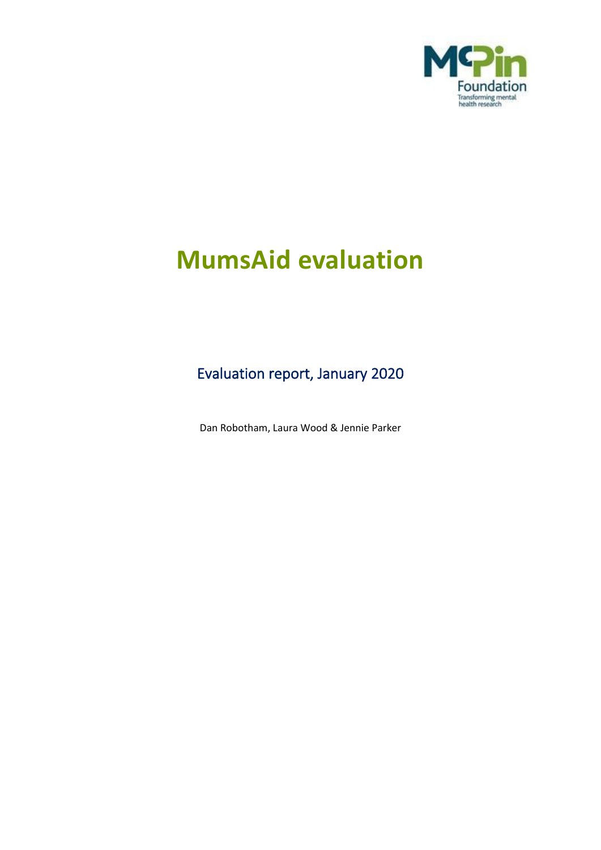

# **MumsAid evaluation**

Evaluation report, January 2020

Dan Robotham, Laura Wood & Jennie Parker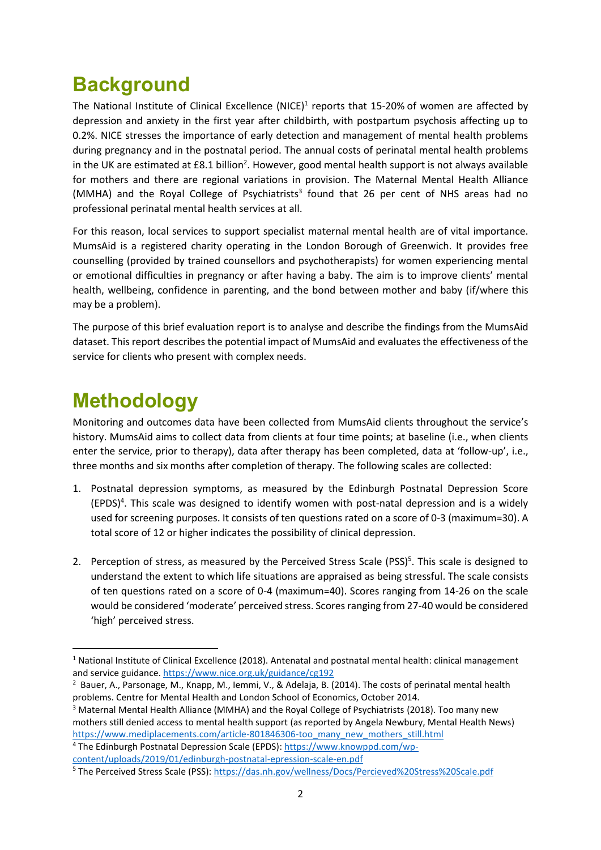# **Background**

The National Institute of Clinical Excellence (NICE)<sup>1</sup> reports that 15-20% of women are affected by depression and anxiety in the first year after childbirth, with postpartum psychosis affecting up to 0.2%. NICE stresses the importance of early detection and management of mental health problems during pregnancy and in the postnatal period. The annual costs of perinatal mental health problems in the UK are estimated at £8.1 billion<sup>2</sup>. However, good mental health support is not always available for mothers and there are regional variations in provision. The Maternal Mental Health Alliance (MMHA) and the Royal College of Psychiatrists<sup>3</sup> found that 26 per cent of NHS areas had no professional perinatal mental health services at all.

For this reason, local services to support specialist maternal mental health are of vital importance. MumsAid is a registered charity operating in the London Borough of Greenwich. It provides free counselling (provided by trained counsellors and psychotherapists) for women experiencing mental or emotional difficulties in pregnancy or after having a baby. The aim is to improve clients' mental health, wellbeing, confidence in parenting, and the bond between mother and baby (if/where this may be a problem).

The purpose of this brief evaluation report is to analyse and describe the findings from the MumsAid dataset. Thisreport describes the potential impact of MumsAid and evaluates the effectiveness of the service for clients who present with complex needs.

# **Methodology**

Monitoring and outcomes data have been collected from MumsAid clients throughout the service's history. MumsAid aims to collect data from clients at four time points; at baseline (i.e., when clients enter the service, prior to therapy), data after therapy has been completed, data at 'follow-up', i.e., three months and six months after completion of therapy. The following scales are collected:

- 1. Postnatal depression symptoms, as measured by the Edinburgh Postnatal Depression Score  $(EPDS)^4$ . This scale was designed to identify women with post-natal depression and is a widely used for screening purposes. It consists of ten questions rated on a score of 0-3 (maximum=30). A total score of 12 or higher indicates the possibility of clinical depression.
- 2. Perception of stress, as measured by the Perceived Stress Scale (PSS)<sup>5</sup>. This scale is designed to understand the extent to which life situations are appraised as being stressful. The scale consists of ten questions rated on a score of 0-4 (maximum=40). Scores ranging from 14-26 on the scale would be considered 'moderate' perceived stress. Scores ranging from 27-40 would be considered 'high' perceived stress.

<sup>3</sup> Maternal Mental Health Alliance (MMHA) and the Royal College of Psychiatrists (2018). Too many new mothers still denied access to mental health support (as reported by Angela Newbury, Mental Health News) [https://www.mediplacements.com/article-801846306-too\\_many\\_new\\_mothers\\_still.html](https://www.mediplacements.com/article-801846306-too_many_new_mothers_still.html)

<sup>4</sup> The Edinburgh Postnatal Depression Scale (EPDS): [https://www.knowppd.com/wp](https://www.knowppd.com/wp-content/uploads/2019/01/edinburgh-postnatal-epression-scale-en.pdf)[content/uploads/2019/01/edinburgh-postnatal-epression-scale-en.pdf](https://www.knowppd.com/wp-content/uploads/2019/01/edinburgh-postnatal-epression-scale-en.pdf)

<sup>1</sup> National Institute of Clinical Excellence (2018). Antenatal and postnatal mental health: clinical management and service guidance.<https://www.nice.org.uk/guidance/cg192>

<sup>2</sup> Bauer, A., Parsonage, M., Knapp, M., Iemmi, V., & Adelaja, B. (2014). The costs of perinatal mental health problems. Centre for Mental Health and London School of Economics, October 2014.

<sup>5</sup> The Perceived Stress Scale (PSS):<https://das.nh.gov/wellness/Docs/Percieved%20Stress%20Scale.pdf>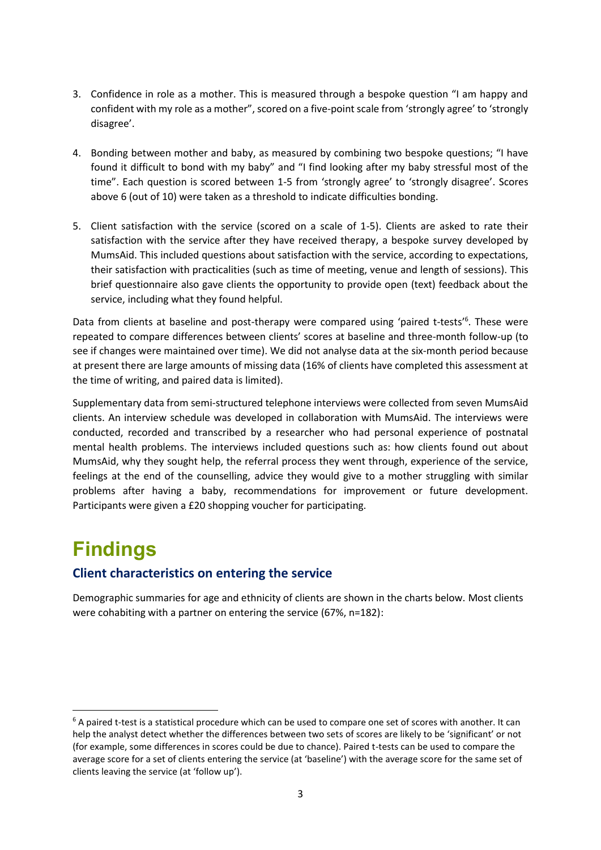- 3. Confidence in role as a mother. This is measured through a bespoke question "I am happy and confident with my role as a mother", scored on a five-point scale from 'strongly agree' to 'strongly disagree'.
- 4. Bonding between mother and baby, as measured by combining two bespoke questions; "I have found it difficult to bond with my baby" and "I find looking after my baby stressful most of the time". Each question is scored between 1-5 from 'strongly agree' to 'strongly disagree'. Scores above 6 (out of 10) were taken as a threshold to indicate difficulties bonding.
- 5. Client satisfaction with the service (scored on a scale of 1-5). Clients are asked to rate their satisfaction with the service after they have received therapy, a bespoke survey developed by MumsAid. This included questions about satisfaction with the service, according to expectations, their satisfaction with practicalities (such as time of meeting, venue and length of sessions). This brief questionnaire also gave clients the opportunity to provide open (text) feedback about the service, including what they found helpful.

Data from clients at baseline and post-therapy were compared using 'paired t-tests'<sup>6</sup>. These were repeated to compare differences between clients' scores at baseline and three-month follow-up (to see if changes were maintained over time). We did not analyse data at the six-month period because at present there are large amounts of missing data (16% of clients have completed this assessment at the time of writing, and paired data is limited).

Supplementary data from semi-structured telephone interviews were collected from seven MumsAid clients. An interview schedule was developed in collaboration with MumsAid. The interviews were conducted, recorded and transcribed by a researcher who had personal experience of postnatal mental health problems. The interviews included questions such as: how clients found out about MumsAid, why they sought help, the referral process they went through, experience of the service, feelings at the end of the counselling, advice they would give to a mother struggling with similar problems after having a baby, recommendations for improvement or future development. Participants were given a £20 shopping voucher for participating.

# **Findings**

# **Client characteristics on entering the service**

Demographic summaries for age and ethnicity of clients are shown in the charts below. Most clients were cohabiting with a partner on entering the service (67%, n=182):

<sup>&</sup>lt;sup>6</sup> A paired t-test is a statistical procedure which can be used to compare one set of scores with another. It can help the analyst detect whether the differences between two sets of scores are likely to be 'significant' or not (for example, some differences in scores could be due to chance). Paired t-tests can be used to compare the average score for a set of clients entering the service (at 'baseline') with the average score for the same set of clients leaving the service (at 'follow up').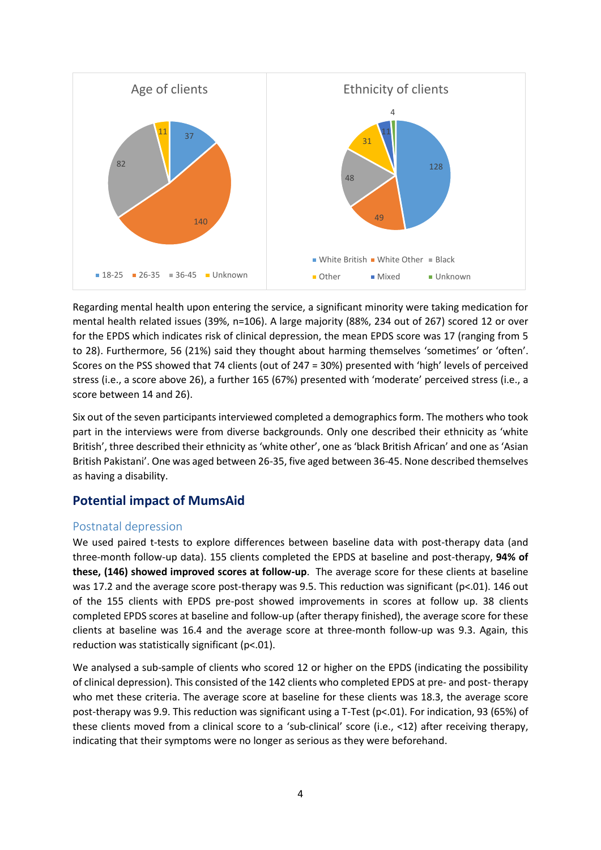

Regarding mental health upon entering the service, a significant minority were taking medication for mental health related issues (39%, n=106). A large majority (88%, 234 out of 267) scored 12 or over for the EPDS which indicates risk of clinical depression, the mean EPDS score was 17 (ranging from 5 to 28). Furthermore, 56 (21%) said they thought about harming themselves 'sometimes' or 'often'. Scores on the PSS showed that 74 clients (out of 247 = 30%) presented with 'high' levels of perceived stress (i.e., a score above 26), a further 165 (67%) presented with 'moderate' perceived stress (i.e., a score between 14 and 26).

Six out of the seven participants interviewed completed a demographics form. The mothers who took part in the interviews were from diverse backgrounds. Only one described their ethnicity as 'white British', three described their ethnicity as 'white other', one as 'black British African' and one as 'Asian British Pakistani'. One was aged between 26-35, five aged between 36-45. None described themselves as having a disability.

### **Potential impact of MumsAid**

#### Postnatal depression

We used paired t-tests to explore differences between baseline data with post-therapy data (and three-month follow-up data). 155 clients completed the EPDS at baseline and post-therapy, **94% of these, (146) showed improved scores at follow-up**. The average score for these clients at baseline was 17.2 and the average score post-therapy was 9.5. This reduction was significant (p<.01). 146 out of the 155 clients with EPDS pre-post showed improvements in scores at follow up. 38 clients completed EPDS scores at baseline and follow-up (after therapy finished), the average score for these clients at baseline was 16.4 and the average score at three-month follow-up was 9.3. Again, this reduction was statistically significant (p<.01).

We analysed a sub-sample of clients who scored 12 or higher on the EPDS (indicating the possibility of clinical depression). This consisted of the 142 clients who completed EPDS at pre- and post- therapy who met these criteria. The average score at baseline for these clients was 18.3, the average score post-therapy was 9.9. This reduction was significant using a T-Test (p<.01). For indication, 93 (65%) of these clients moved from a clinical score to a 'sub-clinical' score (i.e., <12) after receiving therapy, indicating that their symptoms were no longer as serious as they were beforehand.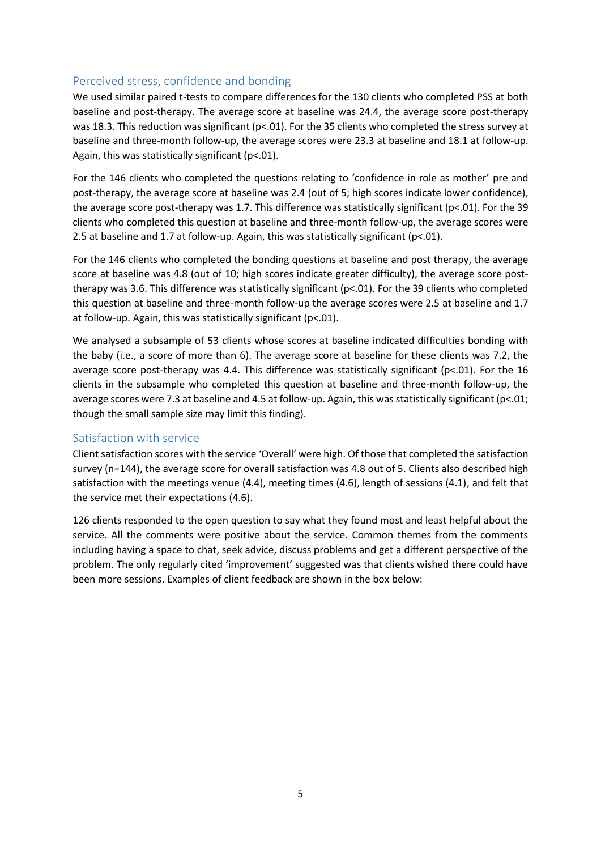#### Perceived stress, confidence and bonding

We used similar paired t-tests to compare differences for the 130 clients who completed PSS at both baseline and post-therapy. The average score at baseline was 24.4, the average score post-therapy was 18.3. This reduction was significant (p<.01). For the 35 clients who completed the stress survey at baseline and three-month follow-up, the average scores were 23.3 at baseline and 18.1 at follow-up. Again, this was statistically significant (p<.01).

For the 146 clients who completed the questions relating to 'confidence in role as mother' pre and post-therapy, the average score at baseline was 2.4 (out of 5; high scores indicate lower confidence), the average score post-therapy was 1.7. This difference was statistically significant (p<.01). For the 39 clients who completed this question at baseline and three-month follow-up, the average scores were 2.5 at baseline and 1.7 at follow-up. Again, this was statistically significant (p<.01).

For the 146 clients who completed the bonding questions at baseline and post therapy, the average score at baseline was 4.8 (out of 10; high scores indicate greater difficulty), the average score posttherapy was 3.6. This difference was statistically significant (p<.01). For the 39 clients who completed this question at baseline and three-month follow-up the average scores were 2.5 at baseline and 1.7 at follow-up. Again, this was statistically significant (p<.01).

We analysed a subsample of 53 clients whose scores at baseline indicated difficulties bonding with the baby (i.e., a score of more than 6). The average score at baseline for these clients was 7.2, the average score post-therapy was 4.4. This difference was statistically significant (p<.01). For the 16 clients in the subsample who completed this question at baseline and three-month follow-up, the average scores were 7.3 at baseline and 4.5 at follow-up. Again, this was statistically significant (p<.01; though the small sample size may limit this finding).

#### Satisfaction with service

Client satisfaction scores with the service 'Overall' were high. Of those that completed the satisfaction survey (n=144), the average score for overall satisfaction was 4.8 out of 5. Clients also described high satisfaction with the meetings venue (4.4), meeting times (4.6), length of sessions (4.1), and felt that the service met their expectations (4.6).

126 clients responded to the open question to say what they found most and least helpful about the service. All the comments were positive about the service. Common themes from the comments including having a space to chat, seek advice, discuss problems and get a different perspective of the problem. The only regularly cited 'improvement' suggested was that clients wished there could have been more sessions. Examples of client feedback are shown in the box below: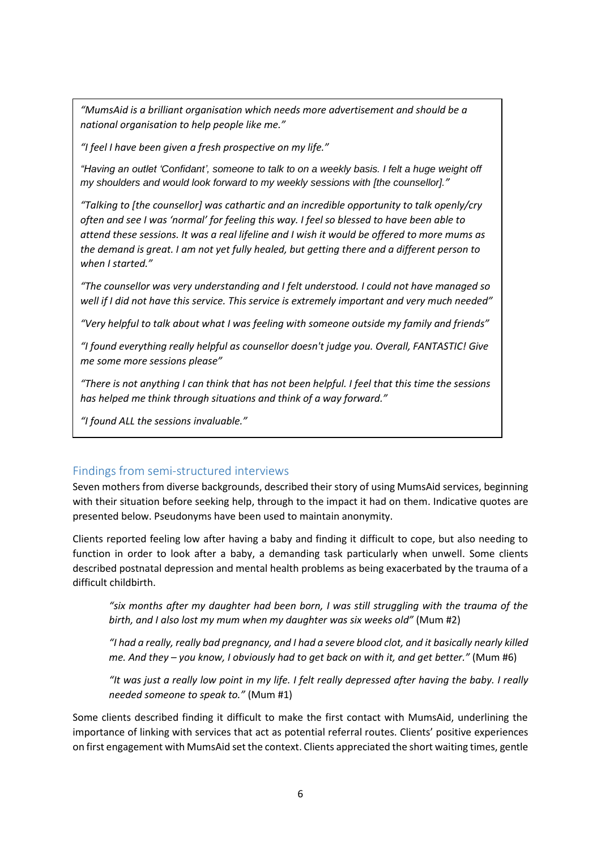*"MumsAid is a brilliant organisation which needs more advertisement and should be a national organisation to help people like me."*

*"I feel I have been given a fresh prospective on my life."*

"Having an outlet 'Confidant', someone to talk to on a weekly basis. I felt a huge weight off *my shoulders and would look forward to my weekly sessions with [the counsellor]."*

*"Talking to [the counsellor] was cathartic and an incredible opportunity to talk openly/cry often and see I was 'normal' for feeling this way. I feel so blessed to have been able to attend these sessions. It was a real lifeline and I wish it would be offered to more mums as the demand is great. I am not yet fully healed, but getting there and a different person to when I started."*

*"The counsellor was very understanding and I felt understood. I could not have managed so well if I did not have this service. This service is extremely important and very much needed"*

*"Very helpful to talk about what I was feeling with someone outside my family and friends"*

*"I found everything really helpful as counsellor doesn't judge you. Overall, FANTASTIC! Give me some more sessions please"*

*"There is not anything I can think that has not been helpful. I feel that this time the sessions has helped me think through situations and think of a way forward."*

*"I found ALL the sessions invaluable."*

#### Findings from semi-structured interviews

Seven mothers from diverse backgrounds, described their story of using MumsAid services, beginning with their situation before seeking help, through to the impact it had on them. Indicative quotes are presented below. Pseudonyms have been used to maintain anonymity.

Clients reported feeling low after having a baby and finding it difficult to cope, but also needing to function in order to look after a baby, a demanding task particularly when unwell. Some clients described postnatal depression and mental health problems as being exacerbated by the trauma of a difficult childbirth.

*"six months after my daughter had been born, I was still struggling with the trauma of the birth, and I also lost my mum when my daughter was six weeks old"* (Mum #2)

*"I had a really, really bad pregnancy, and I had a severe blood clot, and it basically nearly killed me. And they – you know, I obviously had to get back on with it, and get better."* (Mum #6)

*"It was just a really low point in my life. I felt really depressed after having the baby. I really needed someone to speak to."* (Mum #1)

Some clients described finding it difficult to make the first contact with MumsAid, underlining the importance of linking with services that act as potential referral routes. Clients' positive experiences on first engagement with MumsAid set the context. Clients appreciated the short waiting times, gentle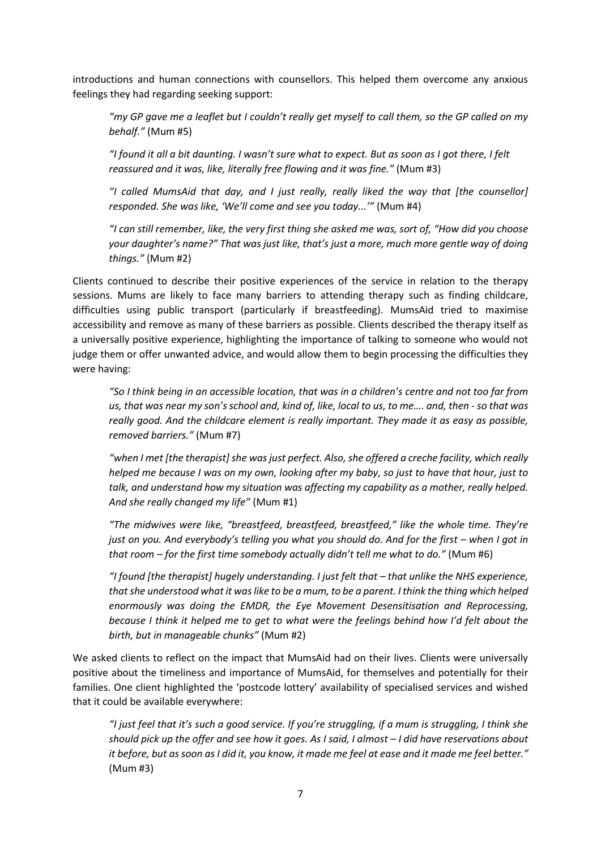introductions and human connections with counsellors. This helped them overcome any anxious feelings they had regarding seeking support:

*"my GP gave me a leaflet but I couldn't really get myself to call them, so the GP called on my behalf."* (Mum #5)

*"I found it all a bit daunting. I wasn't sure what to expect. But as soon as I got there, I felt reassured and it was, like, literally free flowing and it was fine."* (Mum #3)

*"I called MumsAid that day, and I just really, really liked the way that [the counsellor] responded. She was like, 'We'll come and see you today...'"* (Mum #4)

*"I can still remember, like, the very first thing she asked me was, sort of, "How did you choose your daughter's name?" That was just like, that's just a more, much more gentle way of doing things."* (Mum #2)

Clients continued to describe their positive experiences of the service in relation to the therapy sessions. Mums are likely to face many barriers to attending therapy such as finding childcare, difficulties using public transport (particularly if breastfeeding). MumsAid tried to maximise accessibility and remove as many of these barriers as possible. Clients described the therapy itself as a universally positive experience, highlighting the importance of talking to someone who would not judge them or offer unwanted advice, and would allow them to begin processing the difficulties they were having:

*"So I think being in an accessible location, that was in a children's centre and not too far from us, that was near my son's school and, kind of, like, local to us, to me.... and, then - so that was really good. And the childcare element is really important. They made it as easy as possible, removed barriers."* (Mum #7)

*"when I met [the therapist] she was just perfect. Also, she offered a creche facility, which really helped me because I was on my own, looking after my baby, so just to have that hour, just to talk, and understand how my situation was affecting my capability as a mother, really helped. And she really changed my life"* (Mum #1)

*"The midwives were like, "breastfeed, breastfeed, breastfeed," like the whole time. They're just on you. And everybody's telling you what you should do. And for the first – when I got in that room – for the first time somebody actually didn't tell me what to do."* (Mum #6)

*"I found [the therapist] hugely understanding. I just felt that – that unlike the NHS experience, that she understood what it was like to be a mum, to be a parent. I think the thing which helped enormously was doing the EMDR, the Eye Movement Desensitisation and Reprocessing, because I think it helped me to get to what were the feelings behind how I'd felt about the birth, but in manageable chunks"* (Mum #2)

We asked clients to reflect on the impact that MumsAid had on their lives. Clients were universally positive about the timeliness and importance of MumsAid, for themselves and potentially for their families. One client highlighted the 'postcode lottery' availability of specialised services and wished that it could be available everywhere:

*"I just feel that it's such a good service. If you're struggling, if a mum is struggling, I think she should pick up the offer and see how it goes. As I said, I almost – I did have reservations about it before, but as soon as I did it, you know, it made me feel at ease and it made me feel better."*  (Mum #3)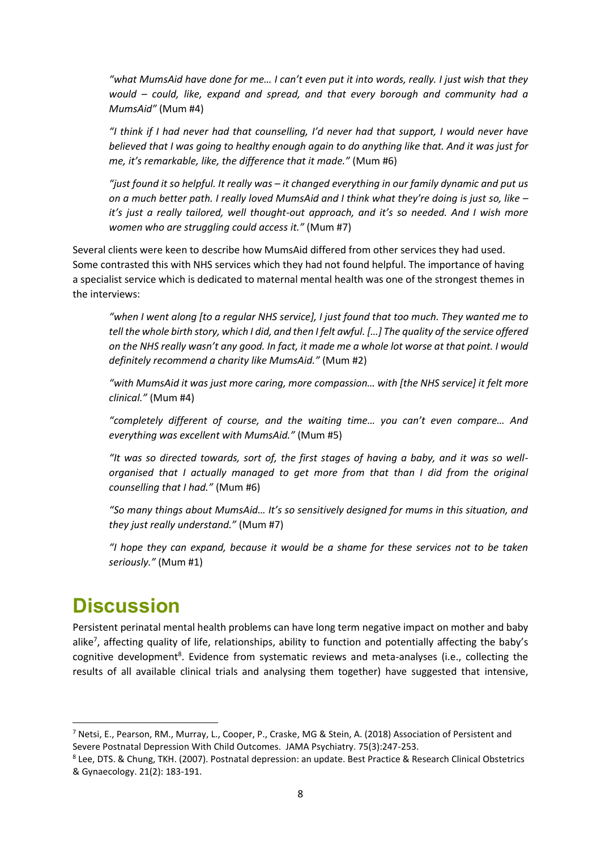*"what MumsAid have done for me… I can't even put it into words, really. I just wish that they would – could, like, expand and spread, and that every borough and community had a MumsAid"* (Mum #4)

*"I think if I had never had that counselling, I'd never had that support, I would never have believed that I was going to healthy enough again to do anything like that. And it was just for me, it's remarkable, like, the difference that it made."* (Mum #6)

*"just found it so helpful. It really was – it changed everything in our family dynamic and put us on a much better path. I really loved MumsAid and I think what they're doing is just so, like – it's just a really tailored, well thought-out approach, and it's so needed. And I wish more women who are struggling could access it."* (Mum #7)

Several clients were keen to describe how MumsAid differed from other services they had used. Some contrasted this with NHS services which they had not found helpful. The importance of having a specialist service which is dedicated to maternal mental health was one of the strongest themes in the interviews:

*"when I went along [to a regular NHS service], I just found that too much. They wanted me to tell the whole birth story, which I did, and then I felt awful. […] The quality of the service offered on the NHS really wasn't any good. In fact, it made me a whole lot worse at that point. I would definitely recommend a charity like MumsAid."* (Mum #2)

"with MumsAid it was just more caring, more compassion... with [the NHS service] it felt more *clinical."* (Mum #4)

*"completely different of course, and the waiting time… you can't even compare… And everything was excellent with MumsAid."* (Mum #5)

*"It was so directed towards, sort of, the first stages of having a baby, and it was so wellorganised that I actually managed to get more from that than I did from the original counselling that I had."* (Mum #6)

*"So many things about MumsAid… It's so sensitively designed for mums in this situation, and they just really understand."* (Mum #7)

*"I hope they can expand, because it would be a shame for these services not to be taken seriously."* (Mum #1)

# **Discussion**

Persistent perinatal mental health problems can have long term negative impact on mother and baby alike<sup>7</sup>, affecting quality of life, relationships, ability to function and potentially affecting the baby's cognitive development<sup>8</sup>. Evidence from systematic reviews and meta-analyses (i.e., collecting the results of all available clinical trials and analysing them together) have suggested that intensive,

<sup>&</sup>lt;sup>7</sup> Netsi, E., Pearson, RM., Murray, L., Cooper, P., Craske, MG & Stein, A. (2018) Association of Persistent and Severe Postnatal Depression With Child Outcomes. JAMA Psychiatry. 75(3):247-253.

<sup>8</sup> Lee, DTS. & Chung, TKH. (2007). Postnatal depression: an update. Best Practice & Research Clinical Obstetrics & Gynaecology. 21(2): 183-191.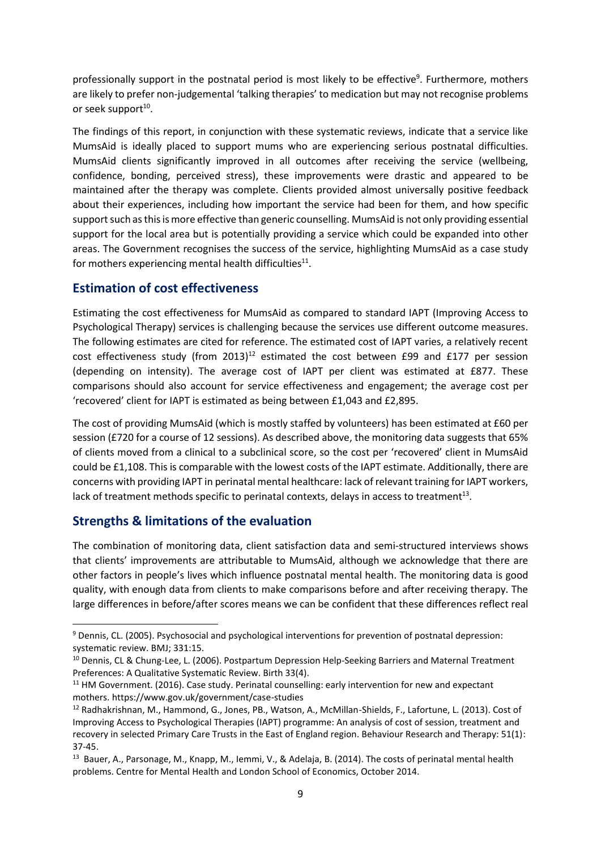professionally support in the postnatal period is most likely to be effective<sup>9</sup>. Furthermore, mothers are likely to prefer non-judgemental 'talking therapies' to medication but may not recognise problems or seek support<sup>10</sup>.

The findings of this report, in conjunction with these systematic reviews, indicate that a service like MumsAid is ideally placed to support mums who are experiencing serious postnatal difficulties. MumsAid clients significantly improved in all outcomes after receiving the service (wellbeing, confidence, bonding, perceived stress), these improvements were drastic and appeared to be maintained after the therapy was complete. Clients provided almost universally positive feedback about their experiences, including how important the service had been for them, and how specific support such as this is more effective than generic counselling. MumsAid is not only providing essential support for the local area but is potentially providing a service which could be expanded into other areas. The Government recognises the success of the service, highlighting MumsAid as a case study for mothers experiencing mental health difficulties<sup>11</sup>.

### **Estimation of cost effectiveness**

Estimating the cost effectiveness for MumsAid as compared to standard IAPT (Improving Access to Psychological Therapy) services is challenging because the services use different outcome measures. The following estimates are cited for reference. The estimated cost of IAPT varies, a relatively recent cost effectiveness study (from 2013)<sup>12</sup> estimated the cost between £99 and £177 per session (depending on intensity). The average cost of IAPT per client was estimated at £877. These comparisons should also account for service effectiveness and engagement; the average cost per 'recovered' client for IAPT is estimated as being between £1,043 and £2,895.

The cost of providing MumsAid (which is mostly staffed by volunteers) has been estimated at £60 per session (£720 for a course of 12 sessions). As described above, the monitoring data suggests that 65% of clients moved from a clinical to a subclinical score, so the cost per 'recovered' client in MumsAid could be £1,108. This is comparable with the lowest costs of the IAPT estimate. Additionally, there are concerns with providing IAPT in perinatal mental healthcare: lack of relevant training for IAPT workers, lack of treatment methods specific to perinatal contexts, delays in access to treatment<sup>13</sup>.

### **Strengths & limitations of the evaluation**

The combination of monitoring data, client satisfaction data and semi-structured interviews shows that clients' improvements are attributable to MumsAid, although we acknowledge that there are other factors in people's lives which influence postnatal mental health. The monitoring data is good quality, with enough data from clients to make comparisons before and after receiving therapy. The large differences in before/after scores means we can be confident that these differences reflect real

<sup>9</sup> Dennis, CL. (2005). Psychosocial and psychological interventions for prevention of postnatal depression: systematic review. BMJ; 331:15.

<sup>&</sup>lt;sup>10</sup> Dennis, CL & Chung-Lee, L. (2006). Postpartum Depression Help-Seeking Barriers and Maternal Treatment Preferences: A Qualitative Systematic Review. Birth 33(4).

<sup>&</sup>lt;sup>11</sup> HM Government. (2016). Case study. Perinatal counselling: early intervention for new and expectant mothers. https://www.gov.uk/government/case-studies

<sup>12</sup> Radhakrishnan, M., Hammond, G., Jones, PB., Watson, A., McMillan-Shields, F., Lafortune, L. (2013). Cost of Improving Access to Psychological Therapies (IAPT) programme: An analysis of cost of session, treatment and recovery in selected Primary Care Trusts in the East of England region. Behaviour Research and Therapy: 51(1): 37-45.

<sup>&</sup>lt;sup>13</sup> Bauer, A., Parsonage, M., Knapp, M., Iemmi, V., & Adelaja, B. (2014). The costs of perinatal mental health problems. Centre for Mental Health and London School of Economics, October 2014.